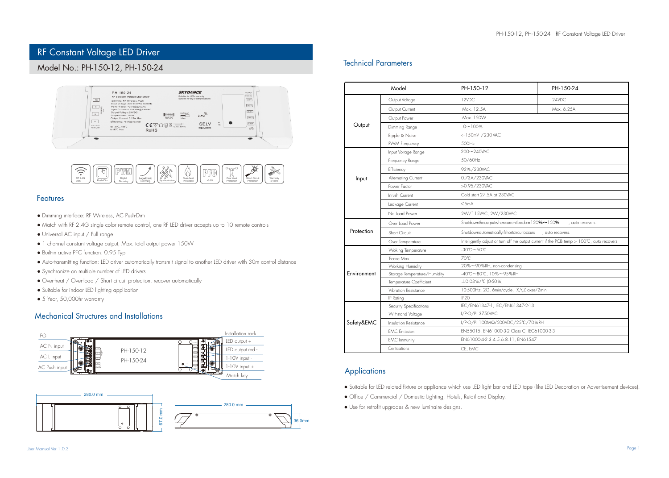# RF Constant Voltage LED Driver

# Model No.: PH-150-12, PH-150-24





## Features

- Dimming interface: RF Wireless, AC Push-Dim
- Match with RF 2.4G single color remote control, one RF LED driver accepts up to 10 remote controls
- Universal AC input / Full range
- 1 channel constant voltage output, Max. total output power 150W
- Built-in active PFC function: 0.95 Typ
- Auto-transmitting function: LED driver automatically transmit signal to another LED driver with 30m control distance
- Synchronize on multiple number of LED drivers
- Over-heat / Over-load / Short circuit protection, recover automatically
- Suitable for indoor LED lighting application
- 5 Year, 50,000hr warranty

## Mechanical Structures and Installations





## Technical Parameters

| Model              |                              | PH-150-12                                                                                   | PH-150-24  |
|--------------------|------------------------------|---------------------------------------------------------------------------------------------|------------|
| Output             | Output Voltage               | 12VDC                                                                                       | 24VDC      |
|                    | Output Current               | Max. 12.5A                                                                                  | Max. 6.25A |
|                    | Output Power                 | Max. 150W                                                                                   |            |
|                    | Dimming Range                | $0 - 100%$                                                                                  |            |
|                    | Ripple & Noise               | <=150mV /230 VAC                                                                            |            |
|                    | PVVM Frequency               | 500Hz                                                                                       |            |
| Input              | Input Voltage Range          | 200~240VAC                                                                                  |            |
|                    | Frequency Range              | 50/60Hz                                                                                     |            |
|                    | Efficiency                   | 92%/230VAC                                                                                  |            |
|                    | Alternating Current          | 0.73A/230VAC                                                                                |            |
|                    | Power Factor                 | >0.95/230VAC                                                                                |            |
|                    | Inrush Current               | Cold start 27.5A at 230VAC                                                                  |            |
|                    | Leakage Current              | $<$ 5mA                                                                                     |            |
|                    | No Load Power                | 2W/115VAC, 2W/230VAC                                                                        |            |
| Protection         | Over Load Power              | Shutdowntheoutputwhencurrentload>=120%~150% , auto recovers.                                |            |
|                    | Short Circuit                | Shutdownautomaticallyifshortcircuitoccurs , auto recovers.                                  |            |
|                    | Over Temperature             | Intelligently adjust or turn off the output current if the PCB temp > 100°C, auto recovers. |            |
| <b>Fnvironment</b> | <b>Woking Temperature</b>    | $-30^{\circ}\text{C} \sim 50^{\circ}\text{C}$                                               |            |
|                    | T-case Max                   | 70°C                                                                                        |            |
|                    | Working Humidity             | 20%~90%RH, non-condensing                                                                   |            |
|                    | Storage Temperature/Humidity | -40°C~80°C, 10%~95%RH                                                                       |            |
|                    | Temperature Coefficient      | ±0.03%/°C (0-50%)                                                                           |            |
|                    | Vibration Resistance         | 10-500Hz, 2G, 6min/cycle, X,Y,Z axes/2min                                                   |            |
|                    | IP Rating                    | IP <sub>20</sub>                                                                            |            |
| Safety&EMC         | Security Specifications      | IEC/EN61347-1, IEC/EN61347-2-13                                                             |            |
|                    | Withstand Voltage            | I/P-O/P: 3750VAC                                                                            |            |
|                    | Insulation Resistance        | I/P-O/P: 100ΜΩ/500VDC/25°C/70%RH                                                            |            |
|                    | <b>EMC</b> Emission          | EN55015, EN61000-3-2 Class C, IEC61000-3-3                                                  |            |
|                    | EMC Immunity                 | EN61000-4-2.3.4.5.6.8.11, EN61547                                                           |            |
|                    | Certications                 | CE, EMC                                                                                     |            |

## Applications

- Suitable for LED related fixture or appliance which use LED light bar and LED tape (like LED Decoration or Advertisement devices).
- Office / Commercial / Domestic Lighting, Hotels, Retail and Display.
- Use for retrofit upgrades & new luminaire designs.